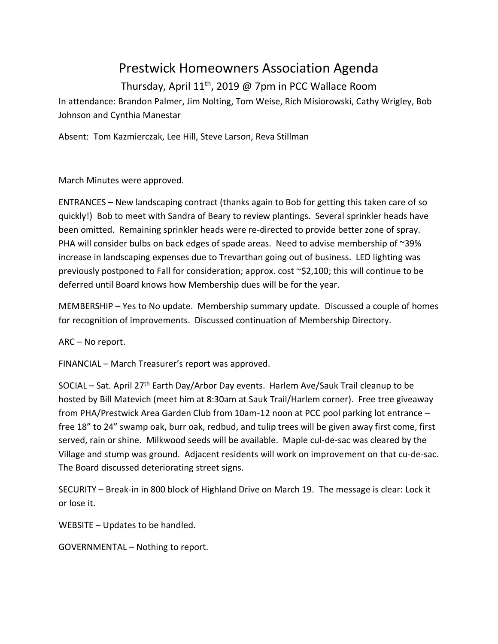## Prestwick Homeowners Association Agenda

Thursday, April 11th, 2019 @ 7pm in PCC Wallace Room In attendance: Brandon Palmer, Jim Nolting, Tom Weise, Rich Misiorowski, Cathy Wrigley, Bob Johnson and Cynthia Manestar

Absent: Tom Kazmierczak, Lee Hill, Steve Larson, Reva Stillman

March Minutes were approved.

ENTRANCES – New landscaping contract (thanks again to Bob for getting this taken care of so quickly!) Bob to meet with Sandra of Beary to review plantings. Several sprinkler heads have been omitted. Remaining sprinkler heads were re-directed to provide better zone of spray. PHA will consider bulbs on back edges of spade areas. Need to advise membership of ~39% increase in landscaping expenses due to Trevarthan going out of business. LED lighting was previously postponed to Fall for consideration; approx. cost ~\$2,100; this will continue to be deferred until Board knows how Membership dues will be for the year.

MEMBERSHIP – Yes to No update. Membership summary update. Discussed a couple of homes for recognition of improvements. Discussed continuation of Membership Directory.

ARC – No report.

FINANCIAL – March Treasurer's report was approved.

SOCIAL – Sat. April 27th Earth Day/Arbor Day events. Harlem Ave/Sauk Trail cleanup to be hosted by Bill Matevich (meet him at 8:30am at Sauk Trail/Harlem corner). Free tree giveaway from PHA/Prestwick Area Garden Club from 10am-12 noon at PCC pool parking lot entrance – free 18" to 24" swamp oak, burr oak, redbud, and tulip trees will be given away first come, first served, rain or shine. Milkwood seeds will be available. Maple cul-de-sac was cleared by the Village and stump was ground. Adjacent residents will work on improvement on that cu-de-sac. The Board discussed deteriorating street signs.

SECURITY – Break-in in 800 block of Highland Drive on March 19. The message is clear: Lock it or lose it.

WEBSITE – Updates to be handled.

GOVERNMENTAL – Nothing to report.